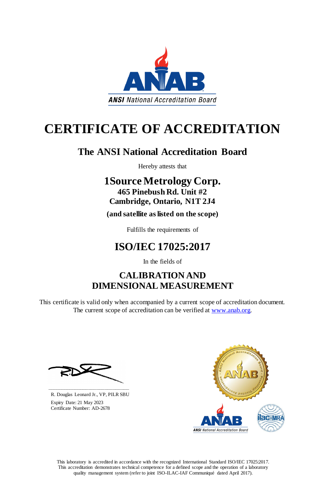This laboratory is accredited in accordance with the recognized International Standard ISO/IEC 17025:2017. This accreditation demonstrates technical competence for a defined scope and the operation of a laboratory quality management system (refer to joint ISO-ILAC-IAF Communiqué dated April 2017).

This certificate is valid only when accompanied by a current scope of accreditation document. The current scope of accreditation can be verified at [www.anab.org.](http://www.anab.org/)







# **CERTIFICATE OF ACCREDITATION**

# **The ANSI National Accreditation Board**

Hereby attests that

# **1Source Metrology Corp. 465 Pinebush Rd. Unit #2 Cambridge, Ontario, N1T 2J4**

**(and satellite as listed on the scope)**

Fulfills the requirements of

# **ISO/IEC 17025:2017**

In the fields of

# **CALIBRATION AND DIMENSIONAL MEASUREMENT**

**\_\_\_\_\_\_\_\_\_\_\_\_\_\_\_\_\_\_\_\_\_\_\_\_\_\_\_\_\_\_** R. Douglas Leonard Jr., VP, PILR SBU

 Expiry Date: 21 May 2023 Certificate Number: AD-2678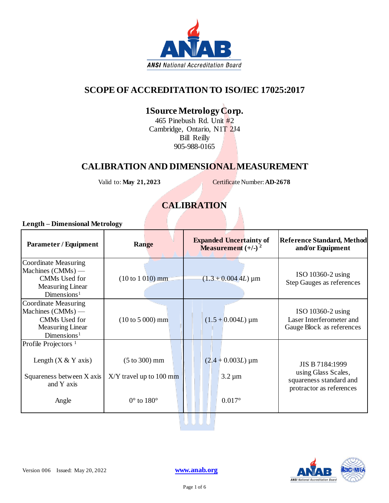

# **SCOPE OF ACCREDITATION TO ISO/IEC 17025:2017**

# **1Source Metrology Corp.**

465 Pinebush Rd. Unit #2 Cambridge, Ontario, N1T 2J4 Bill Reilly 905-988-0165

### **CALIBRATION AND DIMENSIONAL MEASUREMENT**

Valid to: **May 21, 2023** Certificate Number: **AD-2678** 

### **CALIBRATION**

#### **Length – Dimensional Metrology**

| <b>Parameter / Equipment</b>                                                                                              | Range                                                                                         | <b>Expanded Uncertainty of</b><br><b>Measurement</b> $(+/-)$ <sup>2</sup>      | <b>Reference Standard, Method</b><br>and/or Equipment                                         |
|---------------------------------------------------------------------------------------------------------------------------|-----------------------------------------------------------------------------------------------|--------------------------------------------------------------------------------|-----------------------------------------------------------------------------------------------|
| Coordinate Measuring<br>Machines $(CMMs)$ —<br>CMMs Used for<br><b>Measuring Linear</b><br>Dimensions <sup>1</sup>        | $(10 to 1 010)$ mm                                                                            | $(1.3 + 0.004 4L) \,\mathrm{\mu m}$                                            | ISO 10360-2 using<br><b>Step Gauges as references</b>                                         |
| <b>Coordinate Measuring</b><br>Machines $(CMMs)$ —<br>CMMs Used for<br><b>Measuring Linear</b><br>Dimensions <sup>1</sup> | $(10 to 5 000)$ mm                                                                            | $(1.5 + 0.004L) \,\mathrm{\upmu m}$                                            | ISO 10360-2 using<br>Laser Interferometer and<br>Gauge Block as references                    |
| Profile Projectors <sup>1</sup><br>Length $(X & Y$ axis)<br>Squareness between X axis<br>and Y axis<br>Angle              | $(5 \text{ to } 300) \text{ mm}$<br>$X/Y$ travel up to 100 mm<br>$0^{\circ}$ to $180^{\circ}$ | $(2.4 + 0.003L) \,\mathrm{\upmu m}$<br>$3.2 \,\mathrm{\mu m}$<br>$0.017^\circ$ | JIS B 7184:1999<br>using Glass Scales,<br>squareness standard and<br>protractor as references |

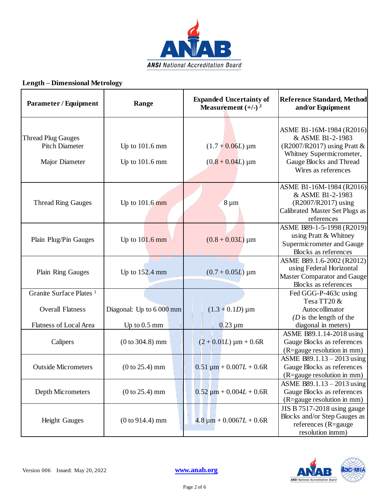

#### **Length – Dimensional Metrology**

| <b>Parameter / Equipment</b>                                                             | Range                                      | <b>Expanded Uncertainty of</b><br>Measurement $(+/-)$ <sup>2</sup> | <b>Reference Standard, Method</b><br>and/or Equipment                                                                                                       |
|------------------------------------------------------------------------------------------|--------------------------------------------|--------------------------------------------------------------------|-------------------------------------------------------------------------------------------------------------------------------------------------------------|
| <b>Thread Plug Gauges</b><br><b>Pitch Diameter</b><br>Major Diameter                     | Up to $101.6$ mm<br>Up to $101.6$ mm       | $(1.7 + 0.06L) \,\mathrm{\upmu m}$<br>$(0.8 + 0.04L)$ µm           | ASME B1-16M-1984 (R2016)<br>& ASME B1-2-1983<br>(R2007/R2017) using Pratt $&$<br>Whitney Supermicrometer,<br>Gauge Blocks and Thread<br>Wires as references |
| <b>Thread Ring Gauges</b>                                                                | Up to $101.6$ mm                           | $8 \mu m$                                                          | ASME B1-16M-1984 (R2016)<br>& ASME B1-2-1983<br>(R2007/R2017) using<br>Calibrated Master Set Plugs as<br>references                                         |
| Plain Plug/Pin Gauges                                                                    | Up to $101.6$ mm                           | $(0.8 + 0.03L)$ µm                                                 | ASME B89-1-5-1998 (R2019)<br>using Pratt & Whitney<br>Supermicrometer and Gauge<br>Blocks as references                                                     |
| Plain Ring Gauges                                                                        | Up to $152.4$ mm                           | $(0.7 + 0.05L) \,\mathrm{\upmu m}$                                 | ASME B89.1.6-2002 (R2012)<br>using Federal Horizontal<br>Master Comparator and Gauge<br>Blocks as references                                                |
| Granite Surface Plates <sup>1</sup><br><b>Overall Flatness</b><br>Flatness of Local Area | Diagonal: Up to 6 000 mm<br>Up to $0.5$ mm | $(1.3 + 0.1D) \,\mu m$<br>$0.23 \mu m$                             | Fed GGG-P-463c using<br>Tesa TT20 &<br>Autocollimator<br>$(D)$ is the length of the<br>diagonal in meters)                                                  |
| Calipers                                                                                 | $(0 to 304.8)$ mm                          | $(2 + 0.01L) \mu m + 0.6R$                                         | ASME B89.1.14-2018 using<br>Gauge Blocks as references<br>(R=gauge resolution in mm)                                                                        |
| <b>Outside Micrometers</b>                                                               | $(0 to 25.4)$ mm                           | $0.51 \mu m + 0.007L + 0.6R$                                       | ASME B89.1.13 - 2013 using<br>Gauge Blocks as references<br>(R=gauge resolution in mm)                                                                      |
| Depth Micrometers                                                                        | $(0 to 25.4)$ mm                           | $0.52 \mu m + 0.004L + 0.6R$                                       | ASME B89.1.13 - 2013 using<br>Gauge Blocks as references<br>(R=gauge resolution in mm)                                                                      |
| <b>Height Gauges</b>                                                                     | $(0 to 914.4)$ mm                          | $4.8 \mu m + 0.0067L + 0.6R$                                       | JIS B 7517-2018 using gauge<br>Blocks and/or Step Gauges as<br>references (R=gauge<br>resolution inmm)                                                      |

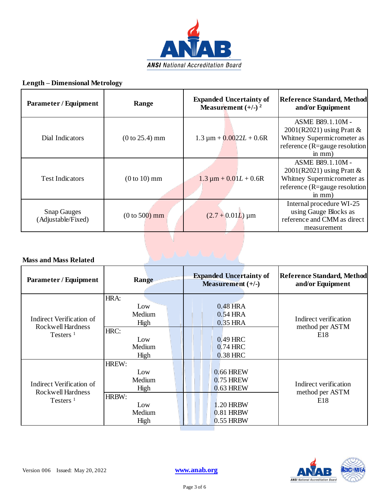

#### **Length – Dimensional Metrology**

| <b>Parameter / Equipment</b>             | Range            | <b>Expanded Uncertainty of</b><br>Measurement $(+/-)$ <sup>2</sup> | <b>Reference Standard, Method</b><br>and/or Equipment                                                                       |
|------------------------------------------|------------------|--------------------------------------------------------------------|-----------------------------------------------------------------------------------------------------------------------------|
| Dial Indicators                          | $(0 to 25.4)$ mm | $1.3 \mu m + 0.0022L + 0.6R$                                       | ASME B89.1.10M -<br>$2001(R2021)$ using Pratt &<br>Whitney Supermicrometer as<br>reference (R=gauge resolution<br>$in mm$ ) |
| <b>Test Indicators</b>                   | $(0 to 10)$ mm   | $1.3 \mu m + 0.01L + 0.6R$                                         | ASME B89.1.10M -<br>$2001(R2021)$ using Pratt &<br>Whitney Supermicrometer as<br>reference (R=gauge resolution<br>$in mm$ ) |
| <b>Snap Gauges</b><br>(Adjustable/Fixed) | $(0 to 500)$ mm  | $(2.7 + 0.01L)$ µm                                                 | Internal procedure WI-25<br>using Gauge Blocks as<br>reference and CMM as direct<br>measurement                             |

#### **Mass and Mass Related**

| <b>Parameter / Equipment</b>                                 | Range                         | <b>Expanded Uncertainty of</b><br>Measurement $(+/-)$ | <b>Reference Standard, Method</b><br>and/or Equipment |
|--------------------------------------------------------------|-------------------------------|-------------------------------------------------------|-------------------------------------------------------|
|                                                              | HRA:                          |                                                       |                                                       |
|                                                              | Low                           | 0.48 HRA                                              |                                                       |
|                                                              | Medium                        | 0.54 HRA                                              |                                                       |
| Indirect Verification of<br>Rockwell Hardness                | High                          | 0.35 HRA                                              | Indirect verification                                 |
| Testers $1$                                                  | HRC:<br>Low<br>Medium<br>High | 0.49 HRC<br>$0.74$ HRC<br>0.38 HRC                    | method per ASTM<br>E <sub>18</sub>                    |
|                                                              | HREW:                         |                                                       |                                                       |
| Indirect Verification of<br>Rockwell Hardness<br>Testers $1$ | Low                           | 0.66 HREW                                             |                                                       |
|                                                              | Medium                        | <b>0.75 HREW</b>                                      | Indirect verification<br>method per ASTM<br>E18       |
|                                                              | High                          | <b>0.63 HREW</b>                                      |                                                       |
|                                                              | HRBW:                         |                                                       |                                                       |
|                                                              | Low                           | 1.20 HRBW                                             |                                                       |
|                                                              | Medium                        | $0.81$ HRBW                                           |                                                       |
|                                                              | High                          | 0.55 HRBW                                             |                                                       |

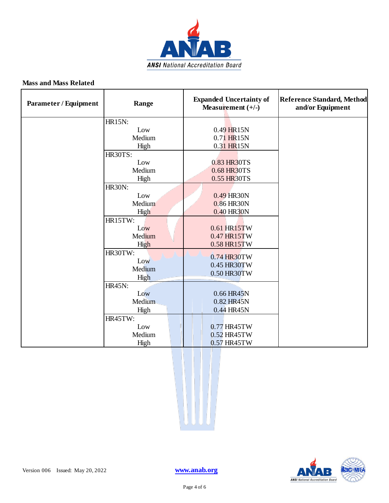

#### **Mass and Mass Related**

| <b>Parameter / Equipment</b> | Range          | <b>Expanded Uncertainty of</b><br>Measurement $(+/-)$ | <b>Reference Standard, Method</b><br>and/or Equipment |
|------------------------------|----------------|-------------------------------------------------------|-------------------------------------------------------|
|                              | <b>HR15N:</b>  |                                                       |                                                       |
|                              | Low            | 0.49 HR15N                                            |                                                       |
|                              | Medium         | 0.71 HR15N                                            |                                                       |
|                              | High           | 0.31 HR15N                                            |                                                       |
|                              | <b>HR30TS:</b> |                                                       |                                                       |
|                              | Low            | 0.83 HR30TS                                           |                                                       |
|                              | Medium         | 0.68 HR30TS                                           |                                                       |
|                              | High           | 0.55 HR30TS                                           |                                                       |
|                              | <b>HR30N:</b>  |                                                       |                                                       |
|                              | Low            | 0.49 HR30N                                            |                                                       |
|                              | Medium         | 0.86 HR30N                                            |                                                       |
|                              | High           | 0.40 HR30N                                            |                                                       |
|                              | HR15TW:        |                                                       |                                                       |
|                              | Low            | 0.61 HR15TW                                           |                                                       |
|                              | Medium         | 0.47 HR15TW                                           |                                                       |
|                              | High           | 0.58 HR15TW                                           |                                                       |
|                              | HR30TW:        | 0.74 HR30TW                                           |                                                       |
|                              | Low            | 0.45 HR30TW                                           |                                                       |
|                              | Medium         | 0.50 HR30TW                                           |                                                       |
|                              | High           |                                                       |                                                       |
|                              | <b>HR45N:</b>  |                                                       |                                                       |
|                              | Low            | 0.66 HR45N                                            |                                                       |
|                              | Medium         | 0.82 HR45N                                            |                                                       |
|                              | High           | 0.44 HR45N                                            |                                                       |
|                              | HR45TW:        |                                                       |                                                       |
|                              | Low            | 0.77 HR45TW                                           |                                                       |
|                              | Medium         | 0.52 HR45TW                                           |                                                       |
|                              | High           | 0.57 HR45TW                                           |                                                       |



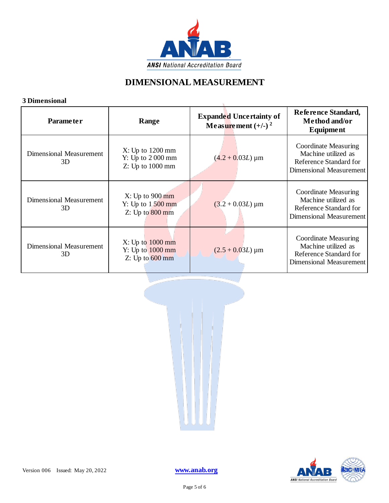

### **DIMENSIONAL MEASUREMENT**

#### **3 Dimensional**

| э глиенsюпаг                         |                                                                  |                                                                    |                                                                                                  |
|--------------------------------------|------------------------------------------------------------------|--------------------------------------------------------------------|--------------------------------------------------------------------------------------------------|
| <b>Parameter</b>                     | Range                                                            | <b>Expanded Uncertainty of</b><br>Measurement $(+/-)$ <sup>2</sup> | Reference Standard,<br>Method and/or<br><b>Equipment</b>                                         |
| Dimensional Measurement<br>3D        | X: Up to 1200 mm<br>Y: Up to 2000 mm<br>Z: Up to 1000 mm         | $(4.2 + 0.03L) \,\mathrm{\upmu m}$                                 | Coordinate Measuring<br>Machine utilized as<br>Reference Standard for<br>Dimensional Measurement |
| <b>Dimensional Measurement</b><br>3D | X: Up to 900 mm<br>Y: Up to $1500 \text{ mm}$<br>Z: Up to 800 mm | $(3.2 + 0.03L) \,\mathrm{\upmu m}$                                 | Coordinate Measuring<br>Machine utilized as<br>Reference Standard for<br>Dimensional Measurement |
| <b>Dimensional Measurement</b><br>3D | X: Up to 1000 mm<br>Y: Up to 1000 mm<br>Z: Up to 600 mm          | $(2.5 + 0.03L) \,\mathrm{\upmu m}$                                 | Coordinate Measuring<br>Machine utilized as<br>Reference Standard for<br>Dimensional Measurement |